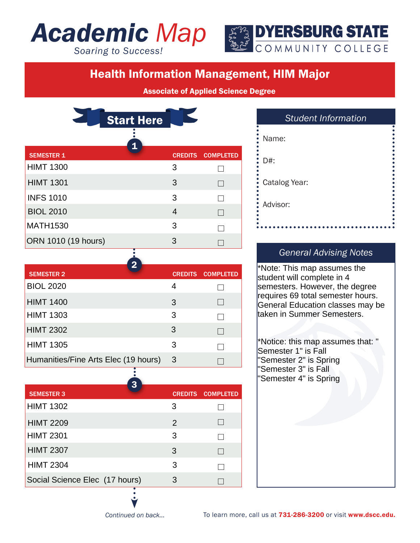# *Academic Map*

*Soaring to Success!*



## Health Information Management, HIM Major

Associate of Applied Science Degree

 $\Box$ 

 $\Box$ 

 $\Box$ 

 $\Box$ 

 $\Box$ 

 $\Box$ 

|                     | <b>Start Here</b> |                          |
|---------------------|-------------------|--------------------------|
| <b>SEMESTER 1</b>   | $\mathbf 1$       | <b>CREDITS COMPLETED</b> |
| <b>HIMT 1300</b>    | 3                 |                          |
| <b>HIMT 1301</b>    | 3                 | $\Box$                   |
| <b>INFS 1010</b>    | 3                 |                          |
| <b>BIOL 2010</b>    | $\overline{4}$    | $\mathbf{I}$             |
| <b>MATH1530</b>     | 3                 |                          |
| ORN 1010 (19 hours) | 3                 |                          |

SEMESTER 2 CREDITS COMPLETED 2

BIOL 2020 4

HIMT 1400 3 HIMT 1303 3

HIMT 2302 3

HIMT 1305 3

Humanities/Fine Arts Elec (19 hours) 3

| <b>Student Information</b> |  |
|----------------------------|--|
| Name:                      |  |
| D#:                        |  |
| Catalog Year:              |  |
| Advisor:                   |  |
|                            |  |

#### *General Advising Notes*

\*Note: This map assumes the student will complete in 4 semesters. However, the degree requires 69 total semester hours. General Education classes may be taken in Summer Semesters.

\*Notice: this map assumes that: " Semester 1" is Fall "Semester 2" is Spring "Semester 3" is Fall "Semester 4" is Spring

| 3                              |               |                          |
|--------------------------------|---------------|--------------------------|
| <b>SEMESTER 3</b>              |               | <b>CREDITS COMPLETED</b> |
| <b>HIMT 1302</b>               | 3             |                          |
| <b>HIMT 2209</b>               | $\mathcal{P}$ |                          |
| <b>HIMT 2301</b>               | 3             |                          |
| <b>HIMT 2307</b>               | 3             |                          |
| <b>HIMT 2304</b>               | 3             |                          |
| Social Science Elec (17 hours) | З             |                          |